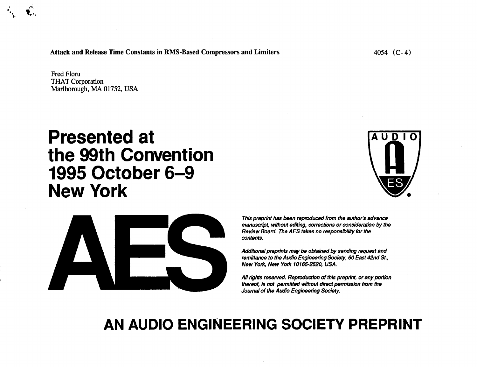**Attack and Release Time Constants in RMS-Based Compressors and Limiters** 

**Fred Floru THAT Corporation** Marlborough, MA 01752, USA

# **Presented at** the 99th Convention 1995 October 6-9 **New York**





This preprint has been reproduced from the author's advance manuscript, without editing, corrections or consideration by the Review Board. The AES takes no responsibility for the contents.

Additional preprints may be obtained by sending request and remittance to the Audio Engineering Society, 60 East 42nd St., New York, New York 10165-2520, USA.

All rights reserved. Reproduction of this preprint, or any portion thereof, is not permitted without direct permission from the Journal of the Audio Engineering Society.

# AN AUDIO ENGINEERING SOCIETY PREPRINT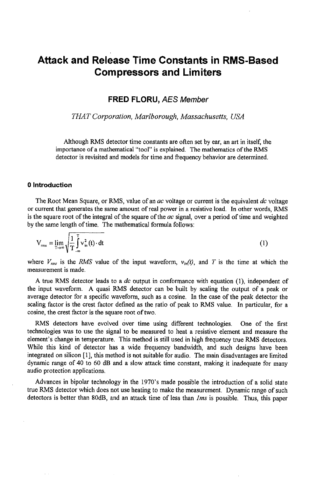# Attack and Release Time Constants in RMS**-**Based Compressors and Limiters

FR*ED FL*O*RU,* **AES M***e***mb**e**r**

**THAT Corporation, Marlborough, Massachusetts, USA**

Although RMS detector time constants are often set by ear, an art in itself, the importance of a mathematical "tool" is explained. The mathematics of the RIMS detector is revisited and models for time and frequency behavior are determined.

## 0 Introduction

The Root Mean Square, or RMS, value of an **ac** voltage or current is the equivalent **dc** voltage or current that generates the same amount of real power in a resistive load. In other words, RMS is the square root of the integral of the square of the **ac** signal, over a period of time and weighted by the same length of time. The mathematical formula follows:

$$
V_{\rm rms} = \lim_{T \to \infty} \sqrt{\frac{1}{T} \int_{-\infty}^{T} v_{\rm in}^2(t) \cdot dt}
$$
 (1)

where  $V_{rms}$  is the RMS value of the input waveform,  $v_{in}(t)$ , and T is the time at which the measurement is made.

A true RMS detector leads to a **dc** output in conformance with equation (1), independent of the input waveform. A quasi RMS detector can be built by scaling the output of a peak or average detector for a specific waveform, such as a cosine. In the case of the peak detector the scaling factor is the crest factor defined as the ratio of peak to RMS value. In particular, for a cosine, the crest factor is the square root of two.

RMS detectors have evolved Over time using different technologies. One of the first technologies was to use the signal to be measured to heat a resistive element and measure the element's change in temperature. This method is still used in high frequen*c*y true RMS detectors. While this kind of detector has a wide frequency bandwidth, and such designs have been integrated on silicon [1], this method is not suitable for audio. The main disadvantages are limited dynamic range of 40 to 60 dB and a slow attack time constant, making it inadequate for many audio protection applications.

Advances in bipolar technology in the 1970's made possible the introduction of a solid state true RMS detector which does not use heating to make the measurement. Dynamic range of such detectors is better than 80dB, and an attack time of less than **lms** is possible. Thus**,** this paper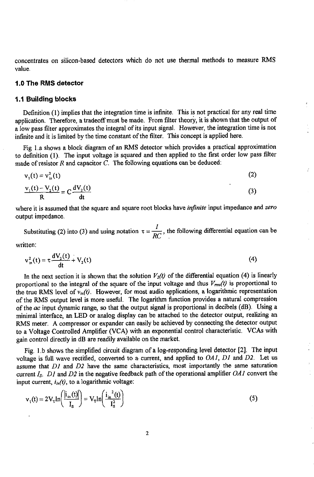concentrates on silicon-based detectors which do not use thermal methods to measure RMS value.

#### t.0 The RMS detector

#### 1.1 Building blocks

Definition (1) implies that the integration time is infinite. This is not practical for any real time application. Therefore**,** a tradeoffmust be made. From filter theory, it is shown that the output of a low pass filter approximates the integral of its input signal. However, the integration time is not infinite and it is limited by the **t**ime constant of the filter. This concept is applied here.

Fig 1.a shows a block diagram of an RMS detector which provides a practical approximation to definition (1). The input voltage is squared and then applied to the first order low pass filter made of resistor **R** and capacitor **C**. The following equations can be deduced:

$$
v_1(t) = v_{in}^2(t)
$$
\n
$$
\frac{v_1(t) - V_2(t)}{R} = C \frac{dV_2(t)}{dt}
$$
\n(2)

where it is assumed that the square and square root blocks have **infinite** input impedance and **zero** output impedance.

**1**  $SC<sub>1</sub>$  into (3) and using differential equation can be followed as  $RC<sub>1</sub>$ 

written:

$$
v_{in}^{2}(t) = \tau \frac{dV_{2}(t)}{dt} + V_{2}(t)
$$
 (4)

In the next section it is shown that the solution  $V_2(t)$  of the differential equation (4) is linearly proportional to the integral of the square of the input voltage and thus  $V_{rms}(t)$  is proportional to the true RMS level of  $v_{in}(t)$ . However, for most audio applications, a logarithmic representation of the RMS output level is more useful. The logarithm function provides a natural compression of the **ac** input dynamic range, so tha**t** the output signal is proportional in decibels (dB). Using a minimal interface, an LED or analog display can be attached to the detector output**,** realizing an EMS meter. A compressor or expander can easily be achieved by connecting the detector output to a Voltage Controlled Amplifier (VCA) with an exponential control characteristic. VCAs with gain control directly in dB are readily available on the market.

Fig. 1.b shows the simplified circuit diagram of a log-responding level detector [2]. The input voltage is full wave rectified**,** conve**rt**ed to a-current, and applied to **OAI**, **D1** and **D2**. Let us assume that **D1** and **D2** have the same characteristics, most importantly the same saturation current **Is**. **D1** and **D2** in the negative feedback path of the operational amplifier **OA1** convert the input current,  $i_{in}(t)$ , to a logarithmic voltage:

$$
\mathbf{v}_1(t) = 2\mathbf{V}_T \ln\left(\frac{\left|i_{\rm in}(t)\right|}{I_s}\right) = \mathbf{V}_T \ln\left(\frac{i_{\rm in}^2(t)}{I_s^2}\right) \tag{5}
$$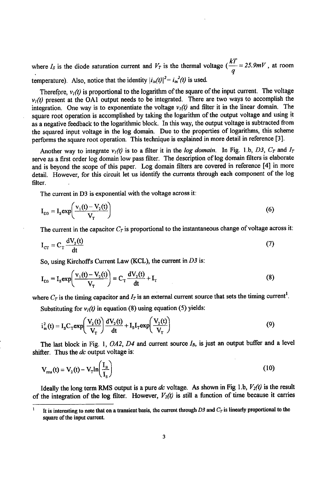where  $I_s$  is the diode saturation current and  $V_T$  is the thermal voltage ( $\frac{V_T}{q} = 25.9$  MV, at room temperature). Also, notice that the identity  $|i_{in}(t)|^2 = i_{in}^2(t)$  is used.

Therefore,  $v_i(t)$  is proportional to the logarithm of the square of the input current. The voltage  $v<sub>t</sub>(t)$  present at the OA1 output needs to be integrated. There are two ways to accomplish the integration. One way is to exponentiate the voltage  $v_t(t)$  and filter it in the linear domain. The square root operati*o*n is acc*o*mplished by taking the l*o*garithm *o*f the output v*o*ltage and using !t as a negative feedback t*o* the logarithmic bl*o*ck. In this way**,** the *o*utput v*o*ltage is subtracted from the squared input v*o*ltage in the l*o*g domain. Due t*o* the properties of l*o*garithms**,** this scheme performs the square root operation. This technique is explained in more detail in reference [3].

Another way to integrate  $v_1(t)$  is to a filter it in the log domain. In Fig. 1.b, D3,  $C_T$  and  $I_T$ serve as a first *o*rder log d*o*main low pass *fi*lter. The descripti*o*n *o*f l*o*g d*o*main filters is elab*o*rate and is beyond the scope of this paper. L*o*g domain filters are c*o*vered in reference [4] in m*o*re detail. H*o*wever**,** for this circuit let us identify the currents thr*o*ugh each c*o*mp*o*nent of the l*o*g filter.

The current in D3 is exp*o*nential with the v*o*ltage acr*o*ss it:

$$
I_{D3} = I_s \exp\left(\frac{v_1(t) - V_2(t)}{V_T}\right)
$$
 (6)

The current in the capacitor  $C_T$  is proportional to the instantaneous change of voltage across it:

$$
I_{cr} = C_T \frac{dV_2(t)}{dt}
$$
 (7)

So, using Kirchoff's Current Law (KCL), the current in  $D3$  is:

$$
I_{DS} = I_s \exp\left(\frac{v_1(t) - V_2(t)}{V_T}\right) = C_T \frac{dV_2(t)}{dt} + I_T
$$
 (8)

where  $C_T$  is the timing capacitor and  $I_T$  is an external current source that sets the timing current<sup>1</sup>.

Substituting for  $v_i(t)$  in equation (8) using equation (5) yields:

$$
i_m^2(t) = I_s C_T exp\left(\frac{V_2(t)}{V_T}\right) \frac{dV_2(t)}{dt} + I_s I_T exp\left(\frac{V_2(t)}{V_T}\right)
$$
(9)

The last block in Fig. 1,  $OA2$ ,  $D4$  and current source  $I<sub>B</sub>$ , is just an output buffer and a level shifter. **T**hus the **dc** output voltage is:

$$
V_{\rm rms}(t) = V_2(t) - V_1 \ln \left( \frac{I_B}{I_S} \right) \tag{10}
$$

Ideally the long term RMS output is a pure *dc* voltage. As shown in Fig 1.b,  $V_2(t)$  is the result of the integration of the log filter. However,  $V_2(t)$  is still a function of time because it carries

 $\mathbf{I}$ It is interesting to note that on a transient basis, the current through D3 and  $C_T$  is linearly proportional to the square of the input current.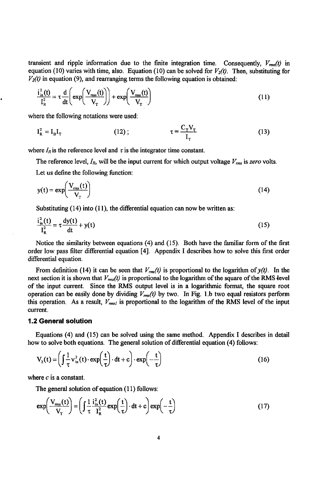transient and ripple information due to the finite integration time. Consequently,  $V_{\text{rms}}(t)$  in equation (10) varies with time, also. Equation (10) can be solved for  $V_2(t)$ . Then, substituting for  $V_2(t)$  in equation (9), and rearranging terms the following equation is obtained:

$$
\frac{i_{\rm in}^2(t)}{I_{\rm R}^2} = \tau \frac{d}{dt} \left( \exp \left( \frac{V_{\rm rms}(t)}{V_{\rm T}} \right) \right) + \exp \left( \frac{V_{\rm rms}(t)}{V_{\rm T}} \right) \tag{11}
$$

where the following notations were used:

ł

$$
I_R^2 = I_B I_T \qquad (12); \qquad \tau = \frac{C_T V_T}{I_T} \qquad (13)
$$

 $\sim$   $-$ 

where  $I_R$  is the reference level and  $\tau$  is the integrator time constant.

The reference level,  $I_R$ , will be the input current for which output voltage  $V_{rms}$  is zero volts. Let us define the following function:

$$
y(t) = \exp\left(\frac{V_{\text{rms}}(t)}{V_{\text{T}}}\right) \tag{14}
$$

Substituting (14) into (11), the differential equation can now be written as:

$$
\frac{i_{\text{in}}^2(t)}{I_{\text{R}}^2} = \tau \frac{dy(t)}{dt} + y(t)
$$
\n(15)

Notice the similarity between equations (4) and (15). Both have the familiar form of the first order Iow pass filter differential equation [4]. Appendix I describes how to solve this first order differential equation.

From definition (14) it can be seen that  $V_{\text{rms}}(t)$  is proportional to the logarithm of  $y(t)$ . In the next section it is shown that  $V_{rms}(t)$  is proportional to the logarithm of the square of the RMS level of the input current. Since the RMS output l*e*vel is in a logarithmic format**,** the square root operation can be easily done by dividing  $V_{rms}(t)$  by two. In Fig. 1.b two equal resistors perform this operation. As a result,  $V_{rmsI}$  is proportional to the logarithm of the RMS level of the input current.

#### 1.2 General solution

Equations (4) an*d* (15) can be solved using the same method. Appendix I describes in detail how to solve both equations. The general solution of differential equation (4) follows:

$$
V_2(t) = \left(\int \frac{1}{\tau} v_{in}^2(t) \cdot \exp\left(\frac{t}{\tau}\right) \cdot dt + c\right) \cdot \exp\left(-\frac{t}{\tau}\right)
$$
 (16)

where **c** is a constant.

The general solution of equation (11) *f*ollows:

$$
\exp\left(\frac{V_{\text{max}}(t)}{V_{\text{T}}}\right) = \left(\int \frac{1}{\tau} \frac{i_{\text{in}}^2(t)}{i_{\text{R}}^2} \exp\left(\frac{t}{\tau}\right) \cdot dt + c\right) \exp\left(-\frac{t}{\tau}\right) \tag{17}
$$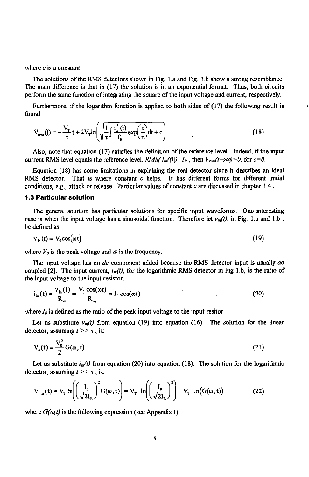where **c** is a constant.

The solutions of the RMS detectors shown in Fig. 1.a and Fig. 1.b show a strong resemblance. The main difference is that in (17) the solution is in an exponential format. Thus**,** both circuits perform the same function of integrating the square of the input voltage and current**,** respectively.

Furthermore**,** if the logarithm function is applied to both sides of (17) the following result is found:

$$
V_{\rm rms}(t) = -\frac{V_{\rm T}}{\tau}t + 2V_{\rm T} \ln\left(\sqrt{\frac{1}{\tau}\int \frac{i_{\rm in}^2(t)}{I_{\rm R}^2}\exp\left(\frac{t}{\tau}\right)}\mathrm{d}t + c\right) \tag{18}
$$

Also**,** note that equa**t**ion (17) satisfies the definition of the reference level**.** Indeed, if the input current RMS level equals the reference level,  $RMS(|i_m(t)|) = I_R$ , then  $V_{mn}(t \rightarrow \infty) = 0$ , for  $c = 0$ .

Equation (18) has some limitations in explaining the real detector since it describes an ideal RMS detector**.** That is where constant **c** helps**.** It has different forms for different initial conditions**,** e**.**g**.,** attack or release**.** Partic**u**lar values of constant **c** are discussed in chapter 1.4**.**

#### 1**.**3 Particular solution

The general solution has particular solutions for specific input waveforms. **O**ne interesting case is when the input voltage has a sinusoidal function. Therefore let  $v_{in}(t)$ , in Fig. 1.a and 1.b, be defined as:

$$
v_{in}(t) = V_0 \cos(\omega t) \tag{19}
$$

where  $V_0$  is the peak voltage and  $\omega$  is the frequency.

The input volta*g*e has no **dc** component added because the RMS de*t*ector input is usually **ac** coupled [2]. The input current,  $i_{in}(t)$ , for the logarithmic RMS detector in Fig 1.b, is the ratio of the input volta*g*e to the input re*s*i*s*tor.

$$
\dot{i}_{in}(t) = \frac{v_{in}(t)}{R_{in}} = \frac{V_0 \cos(\omega t)}{R_{in}} = I_0 \cos(\omega t)
$$
\n(20)

where  $I_0$  is defined as the ratio of the peak input voltage to the input resitor.

Let us substitute  $v_m(t)$  from equation (19) into equation (16). The solution for the linear detector, assuming  $t \geq 7$ , is:

$$
V_2(t) = \frac{V_0^2}{2} G(\omega, t)
$$
 (21)

Let us substitute  $i_{in}(t)$  from equation (20) into equation (18). The solution for the logarithmic detector, assuming  $t \geq t$ , is:

$$
V_{\text{rms}}(t) = V_{\text{T}} \ln \left( \left( \frac{I_0}{\sqrt{2}I_R} \right)^2 G(\omega, t) \right) = V_{\text{T}} \cdot \ln \left( \left( \frac{I_0}{\sqrt{2}I_R} \right)^2 \right) + V_{\text{T}} \cdot \ln(G(\omega, t)) \tag{22}
$$

where  $G(\omega, t)$  is the following expression (see Appendix I):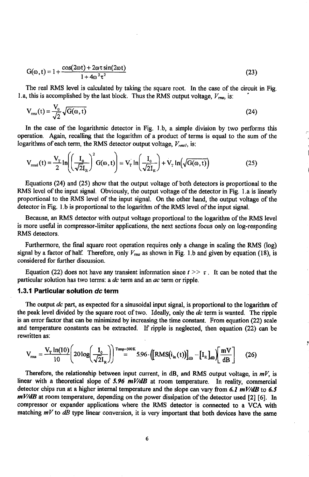$$
G(\omega, t) = 1 + \frac{\cos(2\omega t) + 2\omega \tau \sin(2\omega t)}{1 + 4\omega^2 \tau^2}
$$
\n(23)

The real RMS level is calculated by taking the square ro*o*t. In the case of the circuit in Fig. 1.a, this is accomplished by the last block. Thus the RMS output voltage,  $V_{\text{rms}}$ , is:

$$
V_{\rm rms}(t) = \frac{V_0}{\sqrt{2}} \sqrt{G(\omega, t)}\tag{24}
$$

In the case of the logarit*h*mic detector in Fig. 1.b**,** a simple division by tw**o** performs this operation. Again, recalling that the logarithm of a product of terms is equal to the sum of *t*he logarithms of each term, the RMS detector output voltage,  $V_{rms}$ , is:

$$
V_{\text{msi}}(t) = \frac{V_{\text{T}}}{2} \ln \left( \left( \frac{I_0}{\sqrt{2}I_R} \right)^2 G(\omega, t) \right) = V_{\text{T}} \ln \left( \frac{I_0}{\sqrt{2}I_R} \right) + V_{\text{T}} \ln \left( \sqrt{G(\omega, t)} \right)
$$
(25)

Equations (24) and (25) show that the output voltage of both detectors is proportional to the RMS level of the input signal. Obviously, the output voltage of the det**e**ctor in Fig. 1.a is linearly proportional to the RMS level of the input signal. On the other hand, the output voltage of the detector in Fig. 1.b is proportional to the logarithm of the RMS level of the input signal.

Because, an RMS detector with output voltage proportional to the logarithm of the RMS level is more useful in compressor-limiter applications, the next sections focus only on log-responding RMS detectors.

Furthermore, the final square root operation requires only a change in scaling the RMS (log) signal by a factor of half. Therefore, only  $V_{rms}$  as shown in Fig. 1.b and given by equation (18), is considered for further discussion.

Equation (22) does not have any transient information since  $t \geq \tau$ . It can be noted that the particular solution has two terms: a **dc** term and an **ac** term or ripple.

#### 1.3.1 Particular solution **dc** term

The out*p*ut **dc** p*a*rt, *as* expected f*o*r *a* sinus*o*idal input signal, is *p*rop*o*rtional to the logarithm o*f* the peak level divided by the square root of two. Ideally**,** only the **dc** term is wanted. The ripple is an error factor that can be minimized by increasing the time constant. From equation (22) scale and temperature constants can be extracted. If ripple is neglected, then equation (22) can be rewritten as:

ķ,

$$
V_{\rm rms} = \frac{V_{\rm T} \ln(10)}{10} \left( 20 \log \left( \frac{I_0}{\sqrt{2}I_{\rm R}} \right) \right)^{\rm Tamp = 300K} 5.96 \cdot \left( \left[ \rm RMS(i_{\rm in}(t) \right) \right]_{\rm dB} - \left[ I_{\rm R} \right]_{\rm dB} \left\{ \frac{mV}{\rm dB} \right\} \tag{26}
$$

Therefore, the relationship between input current, in dB, and RMS output voltage, in  $mV$ , is l*i*near with *a* th*e*or*et*ical *s*lope of **5**.**96 mV/dB** at room t*e*mp*e*ratur*e*. In r*e*ality, co*mme*rcial detector chips run at a higher internal temperature and the slope can vary from 6.1  $mV/dB$  to 6.5  $mV/dB$  at room temperature, depending on the power dissipation of the detector used [2] [6]. In compressor or expander applications where the RMS detector is connected to a VCA with matching  $mV$  to  $dB$  type linear conversion, it is very important that both devices have the same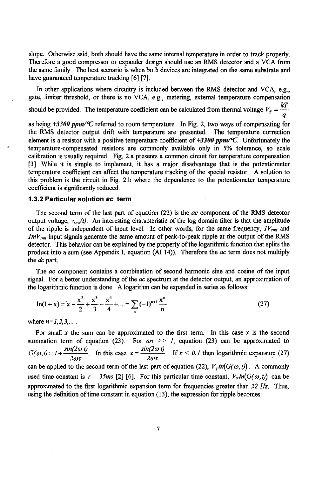slope**.** Otherwise said, both should have the same internal temperature in order to track properly. Theref*o*re a g*oo*d compress*o*r *o*r expander design should use an R\_MSdetect*o*r and a VCA fr*o*m the same family. The best scenario is when both device*s* are integrated on the same substrate and have guaranteed temperature tracking [6] [7].

In other applications where circuitry is included between the RMS detect*o*r and VCA, e.g.**,** gate, limiter threshold**,** or there is no VCA, e.g.**,** metering, external temperature compensati*o*n should be provided. The temperature coefficient can be calculated from thermal voltage  $V_T = \frac{kT}{q}$ 

as being +**3300 ppm/°C** referred t*o* room temperature. In Fig. 2**,** tw*o* ways *o*f compensating for the RMS detect*o*r output drift with temperature are presented. The temperature correcti*o*n element is a resistor with a positive temperature coefficient of +3300 ppm/°C. Unfortunately the temperature-compensated resistors are c*o*mm*o*nly available only in 5% t*o*lerance, s*o* scale calibration is usually required. Fig. **2**.a presents a common circuit for temperature compensation [3]. While it is simple to implement**,** it has a maj*o*r disadvantage that is the potenti*o*meter temperature coefficient can a*ff*ect the temperature tracking *o*f the special resistor. A s*o*luti*o*n to this problem is the circuit in Fig. 2**.**b where the dependence to the potentiometer temperature coefficient is significantly reduced.

## 1.3.2 Particular solution **ac** term

The second term of the last part of equation (22) is the **ac** component of the RMS detect*o*r output voltage,  $v_{rms}(t)$ . An interesting characteristic of the log domain filter is that the amplitude of the ripple is independent of input level. In other words, for the same frequency,  $IV_{rms}$  and **lmV,m**\_input signals generate the same am*o*unt of peak-to-peak ripple at the output *o*f the RMS detector. This behavi*o*r can be explained by the pr*o*perty *o*f the l*o*garithmic functi*o*n that splits the product into a sum (see Appendix I**,** equati*o*n (AI 14)). Therefore the **ac** term does not multiply the **dc** part.

The **ac** c*o*mp*o*ne**n**t contains a combinati*o*n of second harm*o*nic sine and c*o*sine of the input signal. For a better understanding of the **ac** spectrum at the de**t**ect*o*r *o*utput**,** an approximation of the logarithmic function is d*o*ne. A logarithm can be expanded in series as f*o*llows:

$$
\ln(1+x) = x - \frac{x^2}{2} + \frac{x^3}{3} - \frac{x^4}{4} + \dots = \sum_{n} (-1)^{n+1} \frac{x^n}{n}
$$
 (27)

where  $n=1,2,3,...$ ...

For small **x** the sum can be approximated to the first tenn. In this case **x** is the second summation term of equation (23). For  $\omega \tau >> I$ , equation (23) can be approximated to  $G(\omega, t) = I + \frac{sin(2\omega t)}{2\omega\tau}$ . In this case  $x = \frac{sin(2\omega t)}{2\omega\tau}$ . If  $x < 0.1$  then logarithmic expansion (27) can be applied to the second term of the last part of equation (22),  $V_r ln(G(\omega, t))$ . A commonly used time constant is  $\tau = 35$ ms [2] [6]. For this particular time constant,  $V_{\tau}ln(G(\omega,t))$  can be appr*o*ximated t*o* the first logarithmic expansion term f*o*r frequencies greater than **22 Hz**. Thus**,** using the definiti*o*n *o*f time constant in equation (13), the expressi*o*n for ripple bec*o*mes: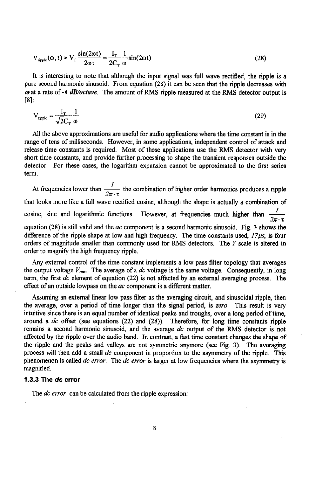$$
V_{\text{right}}(\omega, t) \approx V_{\text{T}} \frac{\sin(2\omega t)}{2\omega \tau} = \frac{I_{\text{T}}}{2C_{\text{T}}} \frac{1}{\omega} \sin(2\omega t)
$$
(28)

It is interesting to note that although the input signal was full wave rectified, the ripple is a pure second harmonic sinusoid. From equation (28) it can be seen that the ripple decreases with **co**at a rate of-**6 dB/octave**. The amount of RMS ripple measured at the RMS detector output is [*8*]:

$$
V_{\text{riiple}} = \frac{I_{\text{T}}}{\sqrt{2}C_{\text{T}}} \frac{1}{\omega} \tag{29}
$$

All the above approximations are useful for audio applications where the time constant is in the range of tens of milliseconds. However, in some applications, independent control of attack and release time constants is required. Most of these applications use the RMS detector with very short time constants**,** and provide further processing to shape the transient responses outside the detector. For these cases, the logarithm expansion cannot be approximated to the first series term.

At frequencies lower than  $\frac{1}{2\pi \cdot \tau}$  the combination of higher order harmonics produces a ripple that looks more like a full wave rectified cosine, although the shape is actually a combination of cosine, sine and logarithmic functions. However, at frequencies much higher than  $\frac{1}{2\pi \cdot \pi}$ equation (28) is still valid and the **ac** component is a second harmonic sinusoid. Fig. 3 shows the difference of the ripple shape at low and high frequency. The time constants used,  $17\mu s$ , is four orders of magnitude smaller than commonly used for RMS detectors. The **Y** scale is altered in order to magnify the high frequency ripple.

Any external control of the time constant implements a low pass filter topology that averages the output voltage  $V_{rms}$ . The average of a *dc* voltage is the same voltage. Consequently, in long term, the first **dc** element of equation (22) is not affected by an external averaging process. The effect of an outside Iowpass on the **ac** component is a different matter.

Assuming an external linear Iow pass filter as the averaging circuit, and sinusoidal ripple, then the average**,** over a period of time longer than the signal period, is **zero**. Thi*s* result is very intuitive since there is an equal number of identical peaks and troughs, over a long period of time**,** around a **dc** offset (see equations (22) and (28)). Therefore, for long time constants ripple remains a second harmonic sinusoid, and the average **dc** output of the RMS detector is not affected by the ripple over the audio band. In contrast, a fast time constant changes the shape of the ripple and the peaks and valleys are not symmetric anymore (see Fig. 3). The averaging process will then add a small **dc** component in proportion to the asymmetry of the ripple. This phenomenon is called **dc error**. The **dc error** is larger at low frequencies where the asymmetry is magnified.

#### 1.3.3 The **dc** error

The **dc error** can be calculated from the ripple expression: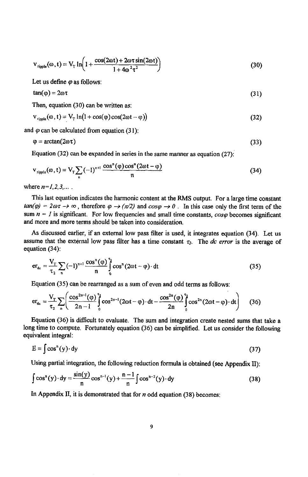$$
V_{\text{right}}(\omega, t) = V_{\text{T}} \ln \left( 1 + \frac{\cos(2\omega t) + 2\omega \tau \sin(2\omega t)}{1 + 4\omega^2 \tau^2} \right) \tag{30}
$$

*L*et us define **(p***a*s follows:

$$
tan(\varphi) = 2\omega \tau \tag{31}
$$

Then**,** equation (30) can be written as:

$$
V_{\text{right}}(\omega, t) = V_{\text{T}} \ln(1 + \cos(\varphi)\cos(2\omega t - \varphi)) \tag{32}
$$

and  $\varphi$  can be calculated from equation (31):

$$
\varphi = \arctan(2\omega \tau) \tag{33}
$$

E*quat*i*o*n (*3*2*)* c*a*n *b*e e*xp*an*d*e*d* in *s*erie*s* in *t*he *sam*e *man*ner *as* e*quat*i*o*n (:27*)*:'

$$
v_{\text{right}}(\omega, t) = V_{\text{T}} \sum_{n} (-1)^{n+1} \frac{\cos^{n}(\varphi) \cos^{n}(2\omega t - \varphi)}{n}
$$
 (34)

where  $n = 1, 2, 3, ...$ .

This last equati*o*n indicates the harm*o*nic content at the RMS *o*utput. F*o*r a large time constant  $\tan(\varphi) = 2\omega\tau \rightarrow \infty$ , therefore  $\varphi \rightarrow (\pi/2)$  and  $\cos\varphi \rightarrow 0$ . In this case only the first term of the sum  $n = 1$  is significant. For low frequencies and small time constants,  $cos\varphi$  becomes significant and more and m*o*re terms sh*o*uld be taken into considerati*o*n.

As discussed earlier, if an external l*o*w pass filter is used, it integrates equation (34). Let us assume that the external low pass filter has a time constant  $\tau_2$ . The *dc* error is the average of equation (34):

$$
\mathbf{er}_{\mathbf{dc}} = \frac{\mathbf{V}_{\mathrm{T}}}{\tau_{2}} \sum_{\mathbf{n}} (-1)^{\mathbf{n}+1} \frac{\cos^{\mathbf{n}}(\varphi)}{\mathbf{n}} \int_{0}^{\tau_{2}} \cos^{\mathbf{n}} (2\omega t - \varphi) \cdot d\mathbf{t}
$$
 (35)

Equation (35) can be rearranged as a sum of even and odd terms as follows:

$$
er_{de} = \frac{V_T}{\tau_2} \sum_{n} \left( \frac{\cos^{2n-1}(\varphi)}{2n-1} \int_{0}^{\tau_2} \cos^{2n-1}(2\omega t - \varphi) \cdot dt - \frac{\cos^{2n}(\varphi)}{2n} \int_{0}^{\tau_2} \cos^{2n}(2\omega t - \varphi) \cdot dt \right) \tag{36}
$$

Equation (36) is difficult to evaluate. The sum and integration create nested sums that take a long time to compute. Fortunately equation (36) can be simplified. Let us consider the following equivalent integral:

$$
E = \int \cos^{n}(y) \cdot dy
$$
 (37)

U*s*ing partial integration, the following reduction formula i*s* obtained (*s*ee Appendix II):

$$
\int \cos^{n}(y) \cdot dy = \frac{\sin(y)}{n} \cos^{n-1}(y) + \frac{n-1}{n} \int \cos^{n-2}(y) \cdot dy
$$
 (38)

In Appendix II, it is demonstrated tha*t* for **n** odd equation (38) becomes: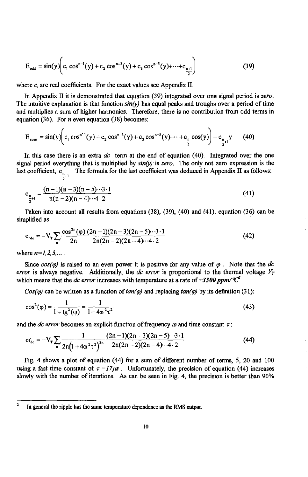$$
E_{odd} = \sin(y) \bigg( c_1 \cos^{n-1}(y) + c_2 \cos^{n-3}(y) + c_3 \cos^{n-5}(y) + \dots + c_{\frac{n+1}{2}} \bigg) \tag{39}
$$

where  $c_t$  are real coefficients. For the exact values see Appendix II.

In Appendix II it is dem*o*nstrated that equati*o*n (39) integrated over *o*ne signal peri*o*d is **zero**. The intuitive explanation is that function  $sin(y)$  has equal peaks and troughs over a period of time and multiplies a *s*um of higher harm*o*nics. Theref*o*re, there is n*o co*ntributi*o*n fr*o*m *o*dd terms in equati*o*n (36). For **n** even equation (38) be*co*mes:

$$
E_{\text{even}} = \sin(y) \bigg( c_1 \cos^{n-1}(y) + c_2 \cos^{n-3}(y) + c_3 \cos^{n-5}(y) + \dots + c_n \cos(y) \bigg) + c_{\frac{n}{2}+1} y \tag{40}
$$

In this case there is an extra **dc** term at the end *o*f equati*o*n (40). Integrated over the *o*ne signal period everything that is multiplied by  $sin(y)$  is zero. The only not zero expression is the last coefficient,  $c_{n}$ . The formula for the last coefficient was deduced in Appendix II as follows:

$$
c_{\frac{n}{2}+1} = \frac{(n-1)(n-3)(n-5)\cdots 3\cdot 1}{n(n-2)(n-4)\cdots 4\cdot 2} \tag{41}
$$

Taken into account all results from equations (38), (39), (40) and (41)**,** equati**o**n (36) can be simplified as:

$$
er_{de} = -V_T \sum_{n} \frac{\cos^{2n}(\varphi)}{2n} \frac{(2n-1)(2n-3)(2n-5)\cdots 3\cdot 1}{2n(2n-2)(2n-4)\cdots 4\cdot 2}
$$
(42)

where  $n = 1, 2, 3, \ldots$ .

Since  $cos(\varphi)$  is raised to an even power it is positive for any value of  $\varphi$ . Note that the dc **error** is always negative. Additionally, the *dc* **error** is proportional to the thermal voltage  $V<sub>r</sub>$ which means that the *dc* error increases with temperature at a rate of  $\pm 3300$  ppm/ $\mathcal{C}^2$ .

 $Cos(\varphi)$  can be written as a function of  $tan(\varphi)$  and replacing  $tan(\varphi)$  by its definition (31):

$$
\cos^2(\varphi) = \frac{1}{1 + \text{tg}^2(\varphi)} = \frac{1}{1 + 4\omega^2 \tau^2}
$$
(43)

and the *dc* error becomes an explicit function of frequency  $\omega$  and time constant  $\tau$ :

$$
er_{de} = -V_T \sum_{n} \frac{1}{2n(1+4\omega^2\tau^2)^{2n}} \frac{(2n-1)(2n-3)(2n-5)\cdot 3\cdot 1}{2n(2n-2)(2n-4)\cdot 4\cdot 2}
$$
(44)

Fig. 4 sh*o*ws a pl*o*t *o*f equation (44) f*o*r a sum *o*f di*ff*erent number *o*f terms**,** 5, 20 and 100 using a fast time constant of  $\tau = I7/\mu s$ . Unfortunately, the precision of equation (44) increases slowly with the number *o*f iterati*o***n**s. As can be seen in Fig. 4**,** the precisi*o*n is better than 90%

<sup>&</sup>lt;sup>2</sup> In general the ripple has the same temperature dependence as the RMS output.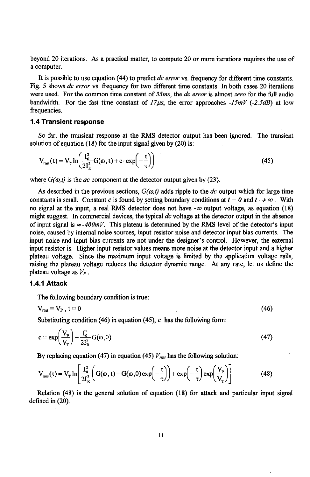beyond 2*0* iterations. *A*s a prac*t*ical matter, to compute 20 or *m*ore itera*t*ions require*s* the use of a computer.

It is possible to use equation (44) to predict **dc error** vs. frequency for different time constants. Fig. 5 shows **dc error** vs. frequency for two different time constants. In both cases 20 iterations were used. For the common time constant of **35ms**, the **dc error** is almost **zero** for the full audio bandwidth. For the fast time constant of  $17\mu s$ , the error approaches  $-15mV$  ( $-2.5dB$ ) at low frequencies.

#### 1.4 Transient response

So far, the transient response at the RMS detector output has been ignored. The transient solution of equation (18) for the input signal given by  $(20)$  is:

$$
V_{\rm rms}(t) = V_{\rm T} \ln \left( \frac{I_0^2}{2I_{\rm R}^2} G(\omega, t) + c \cdot \exp\left( -\frac{t}{\tau} \right) \right) \tag{45}
$$

where  $G(\omega,t)$  is the *ac* component at the detector output given by (23).

As described in the previous sections,  $G(\omega, t)$  adds ripple to the *dc* output which for large time constants is small. Constant c is found by setting boundary conditions at  $t = 0$  and  $t \rightarrow \infty$ . With no signal at the input**,** a real RMS detector does not have -**co** output voltage, as equation (18) might suggest. In commercial devices, the typical **dc** voltage at the detector output in the absence of input signal is  $\approx$ -400mV. This plateau is determined by the RMS level of the detector's input noise, caused by internal noise sources, input resistor noise and detector input bias currents. The input noise and input bias currents are not under the designer's control. However**,** the external input resistor is. Higher input resistor values means more noise at the detector input and a higher plateau voltage. Since the maximum input voltage is limited by the application voltage rails**,** raising the plateau voltage reduces the detector dynamic range. At any rate, let us define the plateau voltage as **Ve**.

### 1.4.1 Attack

The following boundary condition is true:

$$
V_{\text{rms}} = V_{P}, t = 0 \tag{46}
$$

Substituting condition (46) in equation (45),  $c$  has the following form:

$$
c = \exp\left(\frac{V_{\rm p}}{V_{\rm T}}\right) - \frac{I_0^2}{2I_{\rm R}^2} G(\omega, 0)
$$
\n(47)

By replacing equation (47) in equation (45)  $V_{\text{rms}}$  has the following solution:

$$
V_{\rm rms}(t) = V_{\rm T} \ln \left[ \frac{I_0^2}{2I_{\rm R}^2} \left( G(\omega, t) - G(\omega, 0) \exp\left(-\frac{t}{\tau}\right) \right) + \exp\left(-\frac{t}{\tau}\right) \exp\left(\frac{V_{\rm P}}{V_{\rm T}}\right) \right]
$$
(48)

Relation (48) is the general solution of equation (18) for attack and particular input signal defined in (20).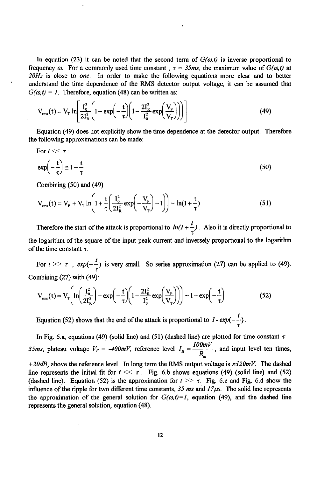In equation (23) it can be noted that the second term of  $G(\omega,t)$  is inverse proportional to frequency  $\omega$ . For a commonly used time constant,  $\tau = 35$ ms, the maximum value of  $G(\omega, t)$  at **20Hz** is cl*o*se to **one**. In order to make the following equati*o*ns m*o*re clear and t*o* better understand the time dependence of the RMS detect*o*r output voltage, it can be assumed that  $G(\omega, t) = 1$ . Therefore, equation (48) can be written as:

$$
V_{\rm rms}(t) = V_{\rm T} \ln \left[ \frac{I_0^2}{2I_{\rm R}^2} \left( 1 - \exp \left( -\frac{t}{\tau} \right) \left( 1 - \frac{2I_{\rm R}^2}{I_0^2} \exp \left( \frac{V_{\rm p}}{V_{\rm T}} \right) \right) \right) \right]
$$
(49)

Equation (49) does not explicitly show the time dependence at the detector *o*utput. Therefore the foll*o*wing approximations can be made:

For 
$$
t \ll \tau
$$
:  
\n
$$
\exp\left(-\frac{t}{\tau}\right) \approx 1 - \frac{t}{\tau}
$$
\n(50)

Combining  $(50)$  and  $(49)$ :

$$
V_{\rm rms}(t) = V_{\rm p} + V_{\rm T} \ln \left( 1 + \frac{t}{\tau} \left( \frac{I_0^2}{2I_{\rm R}^2} \exp \left( -\frac{V_{\rm p}}{V_{\rm T}} \right) - 1 \right) \right) \sim \ln(1 + \frac{t}{\tau}) \tag{51}
$$

Therefore the start of the attack is proportional to  $ln(1 + \frac{t}{\epsilon})$ . Also it is directly proportional to the logarithm of the square of the input peak current and inversely proportional to the logarithm of the time constant  $\tau$ .

For  $t \gg \tau$ ,  $exp(-\frac{t}{\tau})$  is very small. So series approximation (27) can be applied to (49). Combining (27) with **(4**9):

$$
V_{\rm rms}(t) = V_{\rm T} \left( \ln \left( \frac{I_0^2}{2I_{\rm R}^2} \right) - \exp \left( -\frac{t}{\tau} \right) \left( 1 - \frac{2I_{\rm R}^2}{I_0^2} \exp \left( \frac{V_{\rm P}}{V_{\rm T}} \right) \right) \right) \sim 1 - \exp \left( -\frac{t}{\tau} \right) \tag{52}
$$

Equation (52) shows that the end of the attack is proportional to  $I - exp(-\frac{t}{\tau})$ 

In Fig. 6.a, equations (49) (solid line) and (51) (dashed line) are plotted for time constant  $\tau =$ **35ms,** plateau voltage  $V_P = -400mV$ , reference level  $I_R = \frac{100mV}{R_{in}}$ , and input level ten times,  $+20dB$ , above the reference level. In long term the RMS output voltage is  $\approx 120mV$ . The dashed line represents the initial fit for  $t \leq \tau$ . Fig. 6.b shows equations (49) (solid line) and (52) (dashed line). Equation (52) is the approximation for  $t \geq 0$  r. Fig. 6.c and Fig. 6.d show the influence of the ripple for two different time constants,  $35 \text{ ms}$  and  $17 \mu s$ . The solid line represents the approximation of the general solution for  $G(\omega,t)=1$ , equation (49), and the dashed line represents the general solution, equation **(4**8).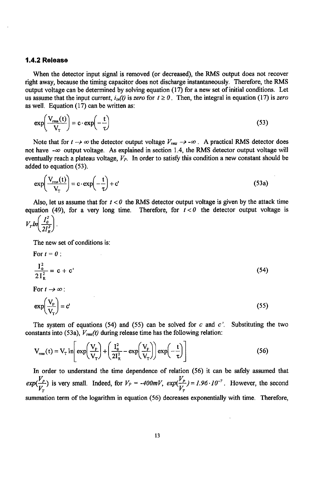#### 1.4.2 Release

When the detector input signal is removed (or decreased), the RMS output does not rec*o*ver right away**,** because the timing capacitor does not discharge instantaneously. Therefore**,** the RMS output voltage can be determined by solving equation (17) for a new set of initial conditions. Let us assume that the input current,  $i_{\text{in}}(t)$  is zero for  $t \ge 0$ . Then, the integral in equation (17) is zero as well. Equation (17) can be written as:

$$
\exp\left(\frac{V_{\text{rms}}(t)}{V_{\text{T}}}\right) = c \cdot \exp\left(-\frac{t}{\tau}\right)
$$
\n(53)

Note that for  $t \to \infty$  the detector output voltage  $V_{rms} \to -\infty$ . A practical RMS detector does not have  $-\infty$  output voltage. As explained in section 1.4, the RMS detector output voltage will eventually reach a plateau voltage, **V**p. In order to satisfy this condition a new constant should be added to equation (53).

$$
\exp\left(\frac{V_{\text{rms}}(t)}{V_{\text{T}}}\right) = c \cdot \exp\left(-\frac{t}{\tau}\right) + c'\tag{53a}
$$

Also, let us assume that for  $t < 0$  the RMS detector output voltage is given by the attack time equation (49), for a very long time. Therefore, for  $t < 0$  the detector output voltage is

$$
V_r \ln\left(\frac{I_o^2}{2I_R^2}\right).
$$

The new set of conditions is:

For 
$$
t = 0
$$
:  
\n
$$
\frac{I_0^2}{2I_R^2} = c + c'
$$
\n(54)

For  $t \rightarrow \infty$ :

$$
\exp\left(\frac{V_{\rm p}}{V_{\rm T}}\right) = c'\tag{55}
$$

The system of equations  $(54)$  and  $(55)$  can be solved for c and c'. Substituting the two constants into (53a),  $V_{rms}(t)$  during release time has the following relation:

$$
V_{\rm rms}(t) = V_{\rm T} \ln \left[ \exp\left(\frac{V_{\rm p}}{V_{\rm T}}\right) + \left(\frac{I_0^2}{2I_{\rm R}^2} - \exp\left(\frac{V_{\rm p}}{V_{\rm T}}\right) \right) \exp\left(-\frac{t}{\tau}\right) \right]
$$
(56)

In order to understand **t**he time dependence of relation (56) it can be safely assumed that  $exp(\frac{V_p}{V_p})$  is very small. Indeed, for  $V_p = -400mV$ ,  $exp(\frac{V_p}{V_p}) = 1.96 \cdot 10^{-7}$ . However, the second summation term of the logarithm in equation (56) decreases exponentially with time. Therefore,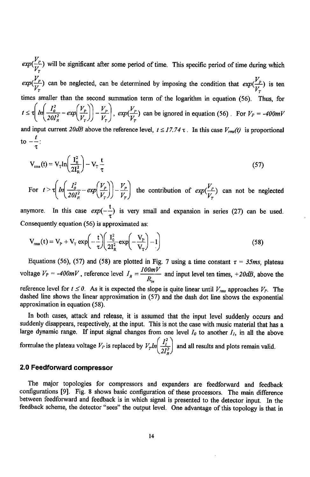$exp(\frac{V_p}{V_r})$  will be significant after some period of time. This specific period of time during which  $exp(\frac{V_p}{V_a})$  can be neglected, can be determined by imposing the condition that  $exp(\frac{V_p}{V_a})$  is ten times smaller than the second summation term of the logarithm in equation (56). Thus, for  $t \leq \tau \left( m \left( \frac{2\delta T_R^2}{2\delta T_R^2} - \exp\left(\frac{V_T}{V_T}\right) \right) - \frac{V_T}{V_T} \right)$ ,  $\exp(\frac{V_T}{V_T})$  can be ignored in equation (56). For  $V_P = -400 mV$ and input current 20dB above the reference level,  $t \leq 17.74 \tau$ . In this case  $V_{rms}(t)$  is proportional to  $-\frac{t}{\tau}$ 

$$
V_{\rm rms}(t) = V_{\rm T} \ln \left( \frac{I_0^2}{2I_{\rm R}^2} \right) - V_{\rm T} \frac{t}{\tau}
$$
 (57)

For  $t > \tau \left( ln \left( \frac{I_o^2}{20I_o^2} - exp(\frac{V_p}{V_r}) \right) - \frac{V_p}{V_r} \right)$  the contribution of  $exp(\frac{V_p}{V_r})$  can not be neglected

anymore. In this case  $exp(-\frac{t}{\tau})$  is very small and expansion in series (27) can be used. Consequently equation (56) is approximated as:

$$
V_{\rm rms}(t) = V_{\rm p} + V_{\rm T} \exp\left(-\frac{t}{\tau}\right) \left(\frac{I_0^2}{2I_{\rm R}^2} \exp\left(-\frac{V_{\rm p}}{V_{\rm T}}\right) - 1\right)
$$
(58)

Equations (56), (57) and (58) are plotted in Fig. 7 using a time constant  $\tau = 35$ ms, plateau voltage  $V_P = -400mV$ , reference level  $I_R = \frac{100mV}{R}$  and input level ten times, +20dB, above the

reference level for  $t \le 0$ . As it is expected the slope is quite linear until  $V_{rms}$  approaches  $V_{P}$ . The dashed line shows the linear approximation in (57) and the dash dot line shows the exponential approximation in equation (58).

In both cases, attack and release**,** it is assumed that the input level suddenly occurs and suddenly disappears, respectively, at the input. This is not the case with music material that has a large dynamic range. If input signal changes from one level  $I_0$  to another  $I_1$ , in all the above

formulae the plateau voltage  $V_P$  is replaced by  $V_T m \left( \frac{2I_R^2}{2I_R^2} \right)$  and all results and plots remain valid.

# 2.0 Feedforward compressor

The major t*o*pologies for compressors and expanders are feedforward and feedback configurations [9]. Fig. 8 shows basic configuration of these processors. The main difference between feedforward and feedback is in which signal is presented to the detector input. In the feedback scheme, the detector "sees" the output level. One advantage of this topology is that in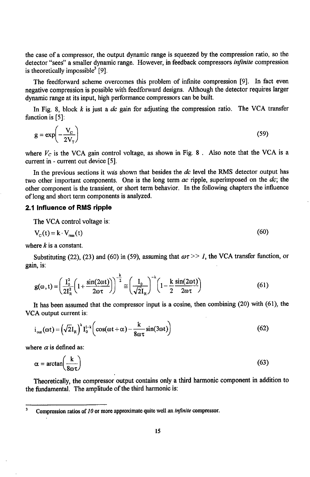the case of a c*o*mpressor, the output dynamic range is squeezed by the compression ratio, so the detector "sees" a smaller dynamic range. However, in feedback compressors **infinite** compression is theoretically impossible<sup>3</sup> [9].

The feedforward scheme overcomes this problem of infinite compression [9]. In fact even negative compression is possible with feedforward designs. Although the detec**t**or requires larger dynamic range at its input, high performance compressors can be built.

In Fig. 8, block k is just a **dc** gain for adjusting the compression ratio. The VCA transfer function is [5]:

$$
g = \exp\left(-\frac{V_c}{2V_T}\right) \tag{59}
$$

where  $V_C$  is the VCA gain control voltage, as shown in Fig. 8. Also note that the VCA is a current in - current out device [5].

In the previous sections it was shown that besides the **dc** level the RMS detector output has two other important components. One is the long term **ac** ripple, superimposed on the **dc**; the other component is the transient, or short term behavior. In the following chapters the influence of long and short term components is analyzed.

## 2.1 Influence of RMS ripple

The VCA control voltage is:

$$
V_{\rm c}(t) = k \cdot V_{\rm rms}(t) \tag{60}
$$

where  $k$  is a constant.

Substituting (22), (23) and (60) in (59), assuming that  $\omega \tau >> I$ , the VCA transfer function, or gain, is:

$$
g(\omega, t) = \left(\frac{I_0^2}{2I_R^2} \left(1 + \frac{\sin(2\omega t)}{2\omega \tau}\right)\right)^{-\frac{k}{2}} \approx \left(\frac{I_0}{\sqrt{2}I_R}\right)^{-k} \left(1 - \frac{k}{2} \frac{\sin(2\omega t)}{2\omega \tau}\right)
$$
(61)

It has been assumed that the compressor input is a co*s*ine, then combining (20) with (61), th*e* VCA output current is:

$$
i_{\text{out}}(\omega t) = \left(\sqrt{2}I_{R}\right)^{k} I_{0}^{1-k} \left(\cos(\omega t + \alpha) - \frac{k}{8\omega\tau}\sin(3\omega t)\right)
$$
(62)

where  $\alpha$  is defined as:

$$
\alpha = \arctan\left(\frac{k}{8\omega\tau}\right) \tag{63}
$$

The*o*retically**,** the c*o*mpress*o*r *o*utput c*o*ntains only a third harm*o*nic c*o*mp*o*nent in additi*o*n to the fundamental. The amplitude of the third harm*o*nic is:

<sup>&</sup>lt;sup>3</sup> Compression ratios of 10 or more approximate quite well an *infinite* compressor.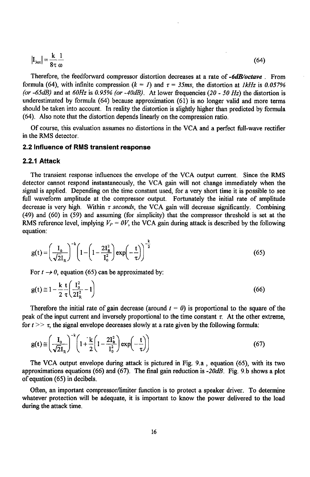$$
\left|\mathbf{I}_{3\omega t}\right| = \frac{\mathbf{k}}{8\tau} \frac{1}{\omega} \tag{64}
$$

Therefore, the feedforward compressor distortion decreases at a rate of-**6dB/oetave**. From formula (64), with infinite compression  $(k = 1)$  and  $\tau = 35$ ms, the distortion at  $1kHz$  is 0.057% **(or** -**6\$dB)** and at **60Hz** is **0**.**95% (or** -**40dB)**. At lower frequencies (2**0** - **50 Hz**) the distortion is underestimated by formula (64) beca**u**se approximation (61) is no longer valid and more terms should be taken into account. In reality the distortion is slightly higher than predicted by formula (64). Also **n**ote that the distortion depends linearly on the compressio**n** ratio.

Of course, this evaluation ass**u**mes no distortions in the VCA and a perfect full-wave rectifier in the RMS detector.

#### 2.2 Influence of RMS transient response

#### 2.2.1 Attack

The transient response influen*c*es the envelope of the VCA output current. Sin*c*e the RMS detector cannot respond instantaneously, the VCA gain will not change immediately when the signal is applied. Depending on the time constant used, for a very short time it is possible to see full waveform amplitude at the compressor output. Fortunately the initial rate of amplitude decrease is very high. Within  $\tau$  seconds, the VCA gain will decrease significantly. Combining (49) and (60) in (59) and assuming (for simplicity) that the compressor threshold is set at the RMS reference level, implying  $V_P = 0V$ , the VCA gain during attack is described by the following equation:

$$
g(t) = \left(\frac{I_0}{\sqrt{2}I_R}\right)^{-k} \left(1 - \left(1 - \frac{2I_R^2}{I_0^2}\right) \exp\left(-\frac{t}{\tau}\right)\right)^{-\frac{k}{2}}
$$
(65)

For  $t \rightarrow 0$ , equation (65) can be approximated by:

For 
$$
t \to 0
$$
, equation (65) can be approximated by:  
\n
$$
g(t) \approx 1 - \frac{k}{2} \frac{t}{\tau} \left( \frac{I_0^2}{2I_R^2} - 1 \right)
$$
\n(66)

Therefore the initial rate of gain decrease (around  $t = 0$ ) is proportional to the square of the peak of the input current and inversely proportional to the time constant  $\tau$ . At the other extreme, for  $t \gg \tau$ , the signal envelope decreases slowly at a rate given by the following formula:

$$
g(t) \approx \left(\frac{I_0}{\sqrt{2}I_R}\right)^{-\kappa} \left(1 + \frac{k}{2}\left(1 - \frac{2I_R^2}{I_0^2}\right) \exp\left(-\frac{t}{\tau}\right)\right) \tag{67}
$$

The VCA output envelope during attack is pictured in Fig. 9.a, equation (65), with its two approximations equations (66) and (67). The final gain reduction is -**20dB**. Fig. 9.b shows a plot of equation (65) in decibels.

Often, an important compressor/limiter function is to protect a speaker driver. To determine whatever protection will be adequate, it is important to know the power delivered to the load during the attack time.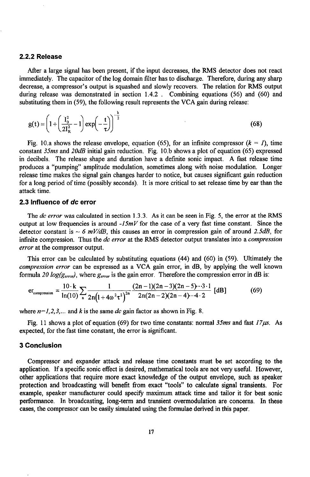#### 2.2.2 Release

After a large signal has been prese*n*t, if the input decreases, the RMS detector does not react immediately. **T**he capacitor of the log d*o*main filter has to discharge. Theref*o*re**,** during any sharp decrease**,** a compressor's output is squashed and slowly recovers**.** The relation for RMS output during release was demonstrated in section 1.4.2 . Combining equations (56) and (60) and substituting them in (59)**,** the foll*o*wing result represents the VCA gain during release:

$$
g(t) = \left(1 + \left(\frac{I_0^2}{2I_R^2} - 1\right) \exp\left(-\frac{t}{\tau}\right)\right)^{-\frac{k}{2}}
$$
(68)

Fig. 10.a shows the release envelope, equation (65), for an infinite compressor  $(k = 1)$ , time constant **35**m**s** and **20dB** initial gain reduction. Fig. 10.b shows a plot of equation (65) expressed in decibels. The release shape and duration have a definite sonic impact. A fast release time produces a "pumping" amplitude modulation, sometimes along with noise modulation. Longer release time makes the signal gain changes harder to notice, but causes significant gain reduction for a long period of time (possibly seconds). It is more critical to set release time by ear than the attack time.

#### *2*.*3* In*fl*uen*c*e of **d**c err*o*r

The **dc error** was calculated in secti*o*n 1.3.3. As it can be seen in Fig. 5, the error at the RMS output at low frequencies is around -**15mV** for the case *o*f a very fast time constant. Since the detector constant is  $\sim 6$  mV/dB, this causes an error in compression gain of around 2.5dB, for infinite compression. Thus the **dc error** at the RMS detector output translates int*o* a **compression error** at the c*o*mpressor output.

This error can be calculated by substituting equations (44) and (60) in (59). Ultimately the **co**m**pre**s**sion error** can be expressed as a VCA gain error**,** in dB**,** by applying the well known formula 20  $log(g_{error})$ , where  $g_{error}$  is the gain error. Therefore the compression error in dB is:

$$
\mathbf{er}_{\text{compression}} = \frac{10 \cdot \mathbf{k}}{\ln(10)} \sum_{n} \frac{1}{2n \left(1 + 4\omega^2 \tau^2\right)^{2n}} \frac{(2n-1)(2n-3)(2n-5) \cdot 3 \cdot 1}{2n(2n-2)(2n-4) \cdot 4 \cdot 2} \text{ [dB]}
$$
(69)

where  $n=1,2,3,...$  and  $k$  is the same  $dc$  gain factor as shown in Fig. 8.

Fig. 11 shows a plot of equation (69) for two time *c*onstants: normal **35ms** and fast **17ps**. As expected, for the fast time constant, the error is significant.

#### 3 Conclusion

Compres*so*r and *e*xpand*e*r attack and r*e*l*e*as*e ti*me con*st*a*nts* mu*st* be set a**c**cording t*o t*h*e* appli**c**ation. Ifa specific sonic e*ff*ect i*s* desired, mathematical to*o*ls are n*o*t very useful. H*o*wever, *o*ther applications that require more exact kn*o*wledge of the *o*utput envelope**,** such a*s s*p*e*ak*e*r pr*o*t*e*cti*o*n and br*o*adcasting will ben*e*fit fr*o*m *e*xact "to*o*l*s*" t*o c*alculate signal tran*s*i*e*nts. F*o*r *e*xample, speaker manufacturer could specify maximum atta**c**k tim*e* and tailor it f*o*r b*es*t sonic p*erfo*rmance. In br*o*adcasting, l*o*ng-t*e*rm and tran*s*i*e*nt *o*v*e*rm*o*dulati*o*n are conc*e*rn*s*. In th*e*s*e* **c**a*ses***,** the compressor can be ea*s*ily simulat*e*d u*s*ing th*e* f*o*rmula*e* d*e*rived in this paper.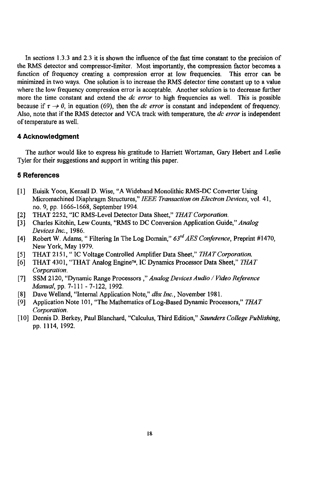In sections 1.3.3 and 2**.**3 it is shown the i**n**fluence of the fast time constant to the precision of the R**M**S detector and compressor-Iimiter**. M**ost importantly, the compression factor becomes a function of frequency creating a compression error at low frequencies. mini**m**ized i**n** two ways**.** One solutio**n** is to increase the RMS de**t**ector time cons**t**ant up to a val**u**e where the Iow frequency compression error is accepta**b**le**.** Another solu**t**ion is to decrease fur**t**her more the time constant and extend the **dc error t**o high frequencies as well**.** This is possible because if  $\tau \rightarrow 0$ , in equation (69), then the *dc* error is constant and independent of frequency. Also**, n**ote that ifthe R**M**S detector and VCA track with temperature**,** the **dc error** is i**n**dependent of **t**emperat**u**re as well.

## 4 Acknowledgment

**T**he author would like *t*o express his gratitude to Harriett Wortzman**,** Gary Hebert and Leslie Tyler f*o*r their suggesti*o*ns and support in writing this paper.

# 5 References

- [1] Euisik Yoon, Ke**n**sall D**.** Wise, "A Wideband Monolithic RMS-DC Converter Using Micromachined Diaphragm Structures," **IEEE Transactionon Electron Devices,** vol. 41, no. 9, pp. 1666-1668**,** September 1994.
- [2] THAT 2252, "IC RMS-Level Detector Data Sheet**,**" **THATCorporation**.
- [3] Charles Kitchin, Lew C*o*unts**,** "RMS t*o* DC Conversi*o*n Applicati*o*n Guide**,**" **Analog Devices Inc**., 1986.
- [4] R*o*bert W. Adams, "Filtering In The Log D*o*main," **63r**d**AE\$ Conference,** Preprint #1470**,** New York, May 1979.
- [5] THAT 2151, "IC Voltage Controlled Amplifier Data Sheet," THAT Corporation.<br>[6] THAT 4301, "THAT Analog Engine™, IC Dynamics Processor Data Sheet," THA
- [6] THAT 4301, "THAT Analog EngineTM, IC Dynamics Pr*o*cessor Data Sheet**,**" **THAT Corporation**.
- [7] SSM 2120, "Dynamic Range Pr*o*cessors ," **Analog Devices Audio / VideoReference Manual**, pp. 7-I 11 - 7-122**,** 1992.
- [8] Dave Welland**,** "Internal Application Note**,**" **dbx Inc**., N*o*vember 1981.
- [9] Application Note I01**,** "The Mathematics of Log-Based Dynamic Processors**,**" **THAT Corporation**.
- [10] Dennis D. Berkey**,** Paul Blanchard, "Calculus**,** Third Editi*o*n**,**" **Saunders College Publishing,** pp. 1114, 1992.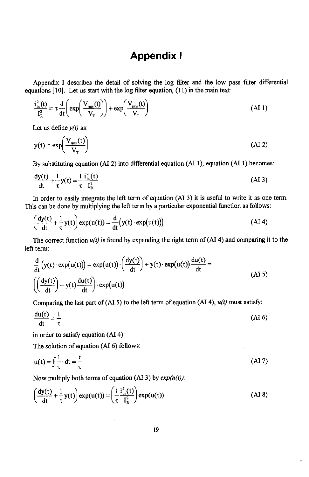# Appendix I

Appendix I describes the detail of solving the log filter and the low pass filter differential equatio**n**s [10]**.** Let us start with the log filter equation, (11) in the main text:

$$
\frac{i_m^2(t)}{I_R^2} = \tau \frac{d}{dt} \left( \exp\left(\frac{V_{\text{rms}}(t)}{V_T}\right) \right) + \exp\left(\frac{V_{\text{rms}}(t)}{V_T}\right) \tag{A11}
$$

Let us define**y(t)** as:

$$
y(t) = \exp\left(\frac{V_{\text{rms}}(t)}{V_{\text{T}}}\right) \tag{AI 2}
$$

By substituting equation (Al 2) into differential equation (AI 1)**,** equation (Al 1) becomes:

$$
\frac{dy(t)}{dt} + \frac{1}{\tau}y(t) = \frac{1}{\tau}\frac{i_{in}^2(t)}{I_R^2}
$$
 (A13)

In order to easily integrate the left term of equation (AI 3) it is useful to write it as one term. This can be done by multiplying the left term by a particular exponential function as follows:

$$
\left(\frac{dy(t)}{dt} + \frac{1}{\tau}y(t)\right) \exp(u(t)) = \frac{d}{dt}\left(y(t) \cdot \exp(u(t))\right) \tag{A1 4}
$$

The correct function  $u(t)$  is found by expanding the right term of  $(AI 4)$  and comparing it to the left term:

$$
\frac{d}{dt}\left(y(t) \cdot \exp(u(t))\right) = \exp(u(t)) \cdot \left(\frac{dy(t)}{dt}\right) + y(t) \cdot \exp(u(t)) \frac{du(t)}{dt} = \left(\frac{dy(t)}{dt}\right) + y(t) \frac{du(t)}{dt} \cdot \exp(u(t))
$$
\n(AI 5)

Comparing the last part of (AI 5) to the left term of equation (AI 4),  $u(t)$  must satisfy:

$$
\frac{du(t)}{dt} = \frac{1}{\tau} \tag{A I 6}
$$

in order to satisfy equation (Al 4).

The solution of equation (Al 6) follows:

$$
u(t) = \int \frac{1}{\tau} \cdot dt = \frac{t}{\tau}
$$
 (AI 7)

Now multiply both terms of equation (AI 3) by  $exp(u(t))$ :

$$
\left(\frac{dy(t)}{dt} + \frac{1}{\tau}y(t)\right) \exp(u(t)) = \left(\frac{1}{\tau}\frac{i_m^2(t)}{i_m^2}\right) \exp(u(t))\tag{A1 8}
$$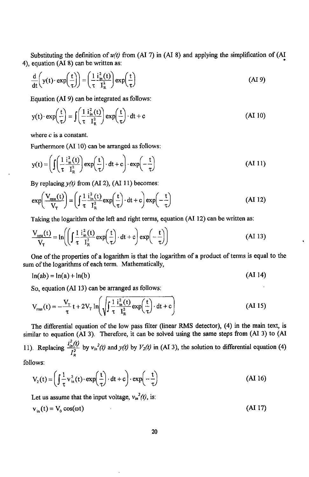Substituting the definition of  $u(t)$  from (AI 7) in (AI 8) and applying the simplification of (AI 4), equation (Al 8) can be written as:

$$
\frac{d}{dt}\left(y(t)\cdot \exp\left(\frac{t}{\tau}\right)\right) = \left(\frac{1}{\tau}\frac{i_m^2(t)}{i_m^2}\right) \exp\left(\frac{t}{\tau}\right) \tag{A1 9}
$$

Equation (**Al** 9) can be integrated as follows:

$$
y(t) \cdot \exp\left(\frac{t}{\tau}\right) = \int \left(\frac{1}{\tau} \frac{i_{\text{in}}^2(t)}{i_{\text{R}}^2}\right) \exp\left(\frac{t}{\tau}\right) \cdot dt + c \tag{A1 10}
$$

where **c** is a constant.

Furthermore (Al 10) can be arranged as follows:

$$
y(t) = \left(\int \left(\frac{1}{\tau} \frac{i_m^2(t)}{I_R^2}\right) \exp\left(\frac{t}{\tau}\right) \cdot dt + c\right) \cdot \exp\left(-\frac{t}{\tau}\right)
$$
(A1 11)

By replacing  $y(t)$  from (AI 2), (AI 11) becomes:

$$
\exp\left(\frac{V_{\text{rms}}(t)}{V_{\text{T}}}\right) = \left(\int \frac{1}{\tau} \frac{i_{\text{m}}^2(t)}{I_{\text{R}}^2} \exp\left(\frac{t}{\tau}\right) \cdot \mathrm{dt} + c\right) \exp\left(-\frac{t}{\tau}\right) \tag{A1 12}
$$

Taking the logarithm of the left and right terms, equation (Al 12) can be written as:

$$
\frac{V_{\text{rms}}(t)}{V_{\tau}} = \ln\left(\left(\int \frac{1}{\tau} \frac{i_{\text{in}}^2(t)}{I_{\text{R}}^2} \exp\left(\frac{t}{\tau}\right) \cdot dt + c\right) \exp\left(-\frac{t}{\tau}\right)\right)
$$
(A1 13)

One of *t*he propertie*s* of a *l*ogari*t*hm is *t*hat the l*og*ar*it*hm *o*f *a* produc*t* of *t*erm*s* i*s* equa*l to t*he sum *o*f *t*he *l*o*g*ari*t*hm*s* of e*a*ch *t*erm**.** Ma*t*hema*t*ica*ll*y,

$$
\ln(ab) = \ln(a) + \ln(b) \tag{A1 14}
$$

So, equation (Al 13) can be arranged as follows:

$$
V_{\rm rms}(t) = -\frac{V_{\rm T}}{\tau} t + 2V_{\rm T} \ln \left( \sqrt{\int \frac{1}{\tau} \frac{i_{\rm m}^2(t)}{I_{\rm R}^2} \exp\left(\frac{t}{\tau}\right) \cdot dt + c} \right) \tag{A I 15}
$$

The differential equation of the Iow pass filter (linear RMS detector)**,** (4) in the main text**,** is similar to equation (Al 3). Therefore**,** it can be solved using the same steps from (Al 3) to (Al 11). Replacing  $\frac{i_m^2(l)}{I_R^2}$  by  $v_m^2(l)$  and  $y(l)$  by  $V_2(l)$  in (AI 3), the solution to differential equation (4)

follows:

$$
V_2(t) = \left(\int \frac{1}{\tau} v_{in}^2(t) \cdot \exp\left(\frac{t}{\tau}\right) \cdot dt + c\right) \cdot \exp\left(-\frac{t}{\tau}\right)
$$
 (A1 16)

Let us assume that the input voltage,  $v_{in}^2(t)$ , is:

$$
v_{in}(t) = V_0 \cos(\omega t) \tag{A1 17}
$$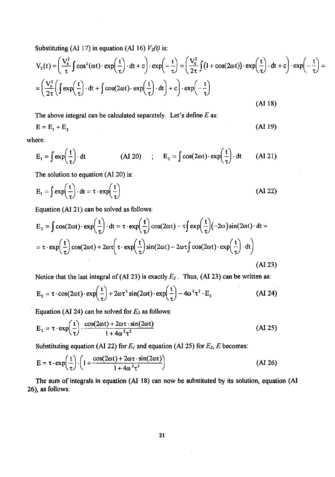Substituting (AI 17) in equation (AI 16)  $V_2(t)$  is:

$$
V_2(t) = \left(\frac{V_0^2}{\tau} \int \cos^2(\omega t) \cdot \exp\left(\frac{t}{\tau}\right) \cdot dt + c\right) \cdot \exp\left(-\frac{t}{\tau}\right) = \left(\frac{V_0^2}{2\tau} \int (1 + \cos(2\omega t)) \cdot \exp\left(\frac{t}{\tau}\right) \cdot dt + c\right) \cdot \exp\left(-\frac{t}{\tau}\right) =
$$
  
=  $\left(\frac{V_0^2}{2\tau} \left(\int \exp\left(\frac{t}{\tau}\right) \cdot dt + \int \cos(2\omega t) \cdot \exp\left(\frac{t}{\tau}\right) \cdot dt\right) + c\right) \cdot \exp\left(-\frac{t}{\tau}\right)$   
(A1 18)

The above integral can be calculated separately. Let's define  $E$  as:

$$
\mathbf{E} = \mathbf{E}_1 + \mathbf{E}_2 \tag{A1 19}
$$

where:

$$
E_1 = \int \exp\left(\frac{t}{\tau}\right) \cdot dt \qquad (AI 20) \qquad ; \qquad E_2 = \int \cos(2\omega t) \cdot \exp\left(\frac{t}{\tau}\right) \cdot dt \qquad (AI 21)
$$

The solution to equation (Al 20) is:

$$
E_1 = \int \exp\left(\frac{t}{\tau}\right) \cdot dt = \tau \cdot \exp\left(\frac{t}{\tau}\right)
$$
 (A1 22)

Equation (Al 21) can be solved as follows:

$$
E_2 = \int \cos(2\omega t) \cdot \exp\left(\frac{t}{\tau}\right) \cdot dt = \tau \cdot \exp\left(\frac{t}{\tau}\right) \cos(2\omega t) - \tau \int \exp\left(\frac{t}{\tau}\right) (-2\omega) \sin(2\omega t) \cdot dt =
$$
  
=  $\tau \cdot \exp\left(\frac{t}{\tau}\right) \cos(2\omega t) + 2\omega \tau \left(\tau \cdot \exp\left(\frac{t}{\tau}\right) \sin(2\omega t) - 2\omega \tau \int \cos(2\omega t) \cdot \exp\left(\frac{t}{\tau}\right) \cdot dt\right)$  (A1 23)

Notice that the last integral of (AI 23) is exactly  $E_2$ . Thus, (AI 23) can be written as:

$$
E_2 = \tau \cdot \cos(2\omega t) \cdot \exp\left(\frac{t}{\tau}\right) + 2\omega \tau^2 \sin(2\omega t) \cdot \exp\left(\frac{t}{\tau}\right) - 4\omega^2 \tau^2 \cdot E_2
$$
 (AI 24)

Equation (AI 24) can be solved for  $E_2$  as follows:

$$
E_2 = \tau \cdot \exp\left(\frac{t}{\tau}\right) \cdot \frac{\cos(2\omega t) + 2\omega \tau \cdot \sin(2\omega t)}{1 + 4\omega^2 \tau^2}
$$
 (AI 25)

Substituting equation (AI 22) for  $E<sub>l</sub>$  and equation (AI 25) for  $E<sub>2</sub>$ ,  $E$  becomes:

$$
E = \tau \cdot \exp\left(\frac{t}{\tau}\right) \cdot \left(1 + \frac{\cos(2\omega t) + 2\omega \tau \cdot \sin(2\omega t)}{1 + 4\omega^2 \tau^2}\right) \tag{A I 26}
$$

The sum of integra*l*s in equation (Al 18) can now be substituted by its solution, equation (Al 26), as follows: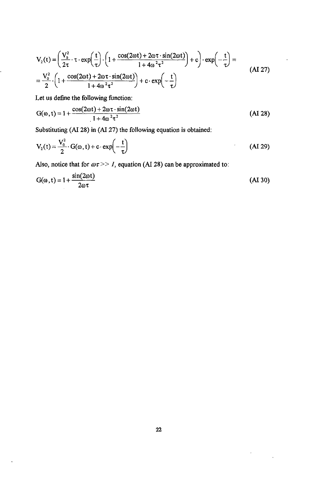$$
V_2(t) = \left(\frac{V_0^2}{2\tau} \cdot \tau \cdot \exp\left(\frac{t}{\tau}\right) \cdot \left(1 + \frac{\cos(2\omega t) + 2\omega \tau \cdot \sin(2\omega t)}{1 + 4\omega^2 \tau^2}\right) + c\right) \cdot \exp\left(-\frac{t}{\tau}\right) =
$$
  
=  $\frac{V_0^2}{2} \cdot \left(1 + \frac{\cos(2\omega t) + 2\omega \tau \cdot \sin(2\omega t)}{1 + 4\omega^2 \tau^2}\right) + c \cdot \exp\left(-\frac{t}{\tau}\right)$  (AI 27)

Let us define the following function:

$$
G(\omega, t) = 1 + \frac{\cos(2\omega t) + 2\omega \tau \cdot \sin(2\omega t)}{1 + 4\omega^2 \tau^2}
$$
 (A1 28)

Substituting (Al 28) in (AI 27) the following equation is obtained:

$$
V_2(t) = \frac{V_0^2}{2} \cdot G(\omega, t) + c \cdot \exp\left(-\frac{t}{\tau}\right)
$$
 (AI 29)

Also, notice that for  $\omega \tau >> 1$ , equation (AI 28) can be approximated to:

$$
G(\omega, t) = 1 + \frac{\sin(2\omega t)}{2\omega \tau}
$$
 (A1 30)

 $\bar{t}$ 

 $\ddot{\phantom{a}}$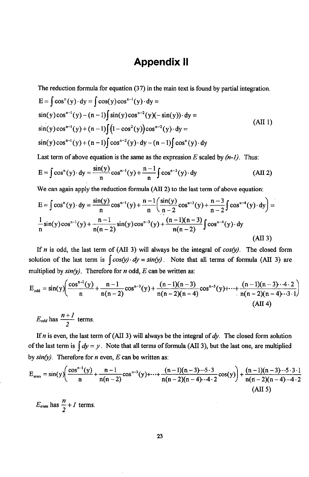# Appendix II

The reduction formula for equation (37) in the main text is found by partial integration.

$$
E = \int \cos^{n}(y) \cdot dy = \int \cos(y) \cos^{n-1}(y) \cdot dy =
$$
  
\n
$$
\sin(y) \cos^{n-1}(y) - (n-1) \int \sin(y) \cos^{n-2}(y) (-\sin(y)) \cdot dy =
$$
  
\n
$$
\sin(y) \cos^{n-1}(y) + (n-1) \int (1 - \cos^{2}(y)) \cos^{n-2}(y) \cdot dy =
$$
  
\n
$$
\sin(y) \cos^{n-1}(y) + (n-1) \int \cos^{n-2}(y) \cdot dy - (n-1) \int \cos^{n}(y) \cdot dy
$$
\n(AII 1)

Last term of above equation is the same as the expression  $E$  scaled by  $(n-1)$ . Thus:

$$
E = \int \cos^{n}(y) \cdot dy = \frac{\sin(y)}{n} \cos^{n-1}(y) + \frac{n-1}{n} \int \cos^{n-2}(y) \cdot dy
$$
 (AII 2)

We can again apply the reduction formula (AII 2) to the last term of above equation:

$$
E = \int \cos^{n}(y) \cdot dy = \frac{\sin(y)}{n} \cos^{n-1}(y) + \frac{n-1}{n} \left( \frac{\sin(y)}{n-2} \cos^{n-3}(y) + \frac{n-3}{n-2} \int \cos^{n-4}(y) \cdot dy \right) = \frac{1}{n} \sin(y) \cos^{n-1}(y) + \frac{n-1}{n(n-2)} \sin(y) \cos^{n-3}(y) + \frac{(n-1)(n-3)}{n(n-2)} \int \cos^{n-4}(y) \cdot dy
$$
\n(All 3)

If  $n$  is odd, the last term of (AII 3) will always be the integral of  $cos(y)$ . The closed form solution of the last term is  $\int cos(y) \cdot dy = sin(y)$ . Note that all terms of formula (AII 3) are

multiplied by 
$$
sin(y)
$$
. Therefore for *n* odd, *E* can be written as:  
\n
$$
E_{odd} = sin(y) \left( \frac{cos^{n-1}(y)}{n} + \frac{n-1}{n(n-2)} cos^{n-3}(y) + \frac{(n-1)(n-3)}{n(n-2)(n-4)} cos^{n-5}(y) + \dots + \frac{(n-1)(n-3) \cdot (4 \cdot 2)}{n(n-2)(n-4) \cdot (3 \cdot 1)} \right)
$$
\n(AH 4)

$$
E_{odd} \text{ has } \frac{n+1}{2} \text{ terms.}
$$

If *n* is even, the last term of (AII 3) will always be the integral of  $dy$ . The closed form solution of the last term is  $\int dy = y$ . Note that all terms of formula (AII 3), but the last one, are multiplied by  $sin(y)$ . Therefore for *n* even, *E* can be written as:

$$
E_{\text{even}} = \sin(y) \left( \frac{\cos^{n-1}(y)}{n} + \frac{n-1}{n(n-2)} \cos^{n-3}(y) + \dots + \frac{(n-1)(n-3) \cdots 5 \cdot 3}{n(n-2)(n-4) \cdots 4 \cdot 2} \cos(y) \right) + \frac{(n-1)(n-3) \cdots 5 \cdot 3 \cdot 1}{n(n-2)(n-4) \cdots 4 \cdot 2} \cdots \tag{All 5}
$$

 $E_{even}$  has  $\frac{1}{2} + I$  terms.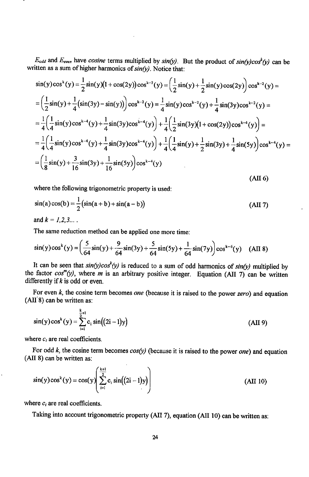$E_{odd}$  and  $E_{even}$  have cosine terms multiplied by  $sin(y)$ . But the product of  $sin(y)cos^k(y)$  can be written as a sum of higher harmonics of  $sin(y)$ . Notice that:

$$
\sin(y)\cos^{k}(y) = \frac{1}{2}\sin(y)(1+\cos(2y))\cos^{k-2}(y) = \left(\frac{1}{2}\sin(y) + \frac{1}{2}\sin(y)\cos(2y)\right)\cos^{k-2}(y) =
$$
\n
$$
= \left(\frac{1}{2}\sin(y) + \frac{1}{4}(\sin(3y) - \sin(y))\right)\cos^{k-2}(y) = \frac{1}{4}\sin(y)\cos^{k-2}(y) + \frac{1}{4}\sin(3y)\cos^{k-2}(y) =
$$
\n
$$
= \frac{1}{4}\left(\frac{1}{4}\sin(y)\cos^{k-4}(y) + \frac{1}{4}\sin(3y)\cos^{k-4}(y)\right) + \frac{1}{4}\left(\frac{1}{2}\sin(3y)(1+\cos(2y))\cos^{k-4}(y)\right) =
$$
\n
$$
= \frac{1}{4}\left(\frac{1}{4}\sin(y)\cos^{k-4}(y) + \frac{1}{4}\sin(3y)\cos^{k-4}(y)\right) + \frac{1}{4}\left(\frac{1}{4}\sin(y) + \frac{1}{2}\sin(3y) + \frac{1}{4}\sin(5y)\right)\cos^{k-4}(y) =
$$
\n
$$
= \left(\frac{1}{8}\sin(y) + \frac{3}{16}\sin(3y) + \frac{1}{16}\sin(5y)\right)\cos^{k-4}(y)
$$
\n(AH 6)

where the following trigonometric property is used:

$$
\sin(a)\cos(b) = \frac{1}{2}(\sin(a+b) + \sin(a-b))
$$
 (AII 7)

and  $k = 1, 2, 3...$ 

The same reduction method can be applied one more time:

$$
\sin(y)\cos^{k}(y) = \left(\frac{5}{64}\sin(y) + \frac{9}{64}\sin(3y) + \frac{5}{64}\sin(5y) + \frac{1}{64}\sin(7y)\right)\cos^{k-6}(y)
$$
 (AII 8)

It can be seen that  $sin(y)cos^{k}(y)$  is reduced to a sum of odd harmonics of  $sin(y)$  multiplied by the factor  $cos^{m}(y)$ , where *m* is an arbitrary positive integer. Equation (AII 7) can be written differently if  $k$  is odd or even.

For even  $k$ , the cosine term becomes one (because it is raised to the power zero) and equation (AII'8) can be written as:

$$
\sin(y)\cos^{k}(y) = \sum_{i=1}^{\frac{k}{2}+1} c_{i} \sin((2i-1)y)
$$
 (AII 9)

where  $c_i$  are real coefficients.

For odd  $k$ , the cosine term becomes  $cos(y)$  (because it is raised to the power one) and equation (AII 8) can be written as:

$$
\sin(y)\cos^{k}(y) = \cos(y)\left(\sum_{i=1}^{\frac{k+1}{2}} c_{i} \sin((2i-1)y)\right)
$$
 (AII 10)

where  $c_i$  are real coefficients.

Taking into account trigonometric property (AII 7), equation (AII 10) can be written as: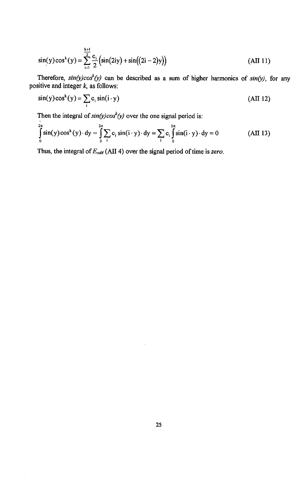$$
\sin(y)\cos^{k}(y) = \sum_{i=1}^{\frac{k+1}{2}} \frac{c_{i}}{2} \left( \sin(2iy) + \sin((2i-2)y) \right)
$$
(AII 11)

Therefore,  $sin(y)cos^k(y)$  can be described as a sum of higher harmonics of  $sin(y)$ , for any positive and integer **k**, as follows:

$$
\sin(y)\cos^{k}(y) = \sum_{i} c_{i} \sin(i \cdot y)
$$
 (AII 12)

Then the integral of  $sin(y)cos^k(y)$  over the one signal period is:

$$
\int_{0}^{2\pi} \sin(y) \cos^{k}(y) \cdot dy = \int_{0}^{2\pi} \sum_{i} c_{i} \sin(i \cdot y) \cdot dy = \sum_{i} c_{i} \int_{0}^{2\pi} \sin(i \cdot y) \cdot dy = 0
$$
 (AII 13)

Thus, the integral of **Eo**dd(Ali 4) *o*ver the signal period of time is **zero**.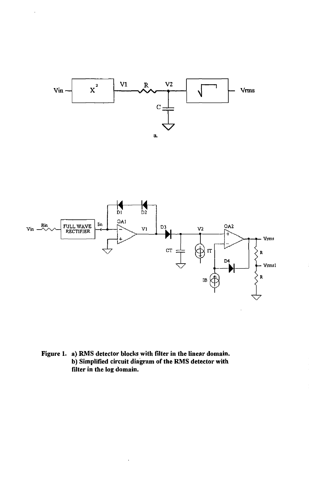

# Figure 1. a) RMS detector blocks with filter in the linear domain. b) Simplified circuit diagram of the RMS detector with filter in the log domain.

l,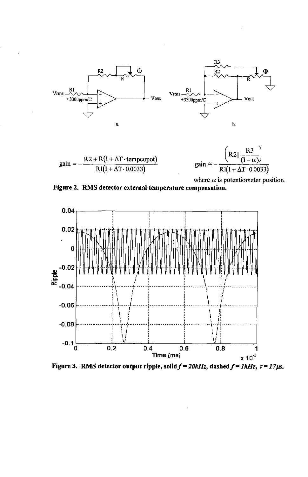

 $R2 + R(1 + \Delta T \cdot tempcopot)$ <br>R1(1+ $\Delta T \cdot 0.0033$ )  $gain =$ 



where  $\alpha$  is potentiometer position.





Figure 3. RMS detector output ripple, solid  $f = 20kHz$ , dashed  $f = 1kHz$ ,  $\tau = 17\mu s$ .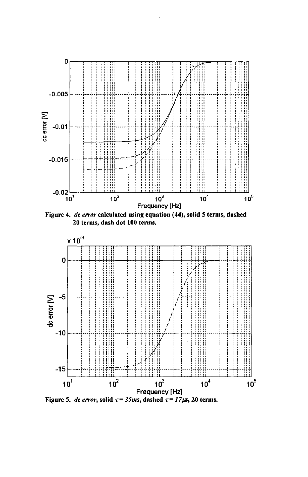

Figure 4. dc error calculated using equation (44), solid 5 terms, dashed 20 terms, dash dot 100 terms.



Figure 5. dc error, solid  $\tau = 35$ ms, dashed  $\tau = 17\mu s$ , 20 terms.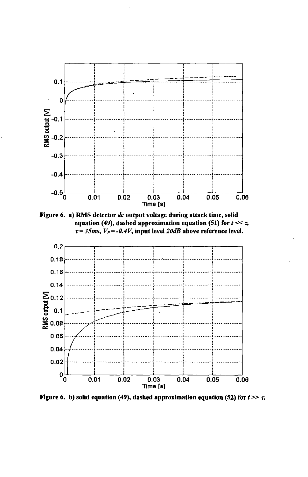

Figure 6. a) RMS detector dc output voltage during attack time, solid equation (49), dashed approximation equation (51) for  $t \ll \tau$ ,  $\tau$  = 35ms,  $V_P$  = -0.4V, input level 20dB above reference level.



Figure 6. b) solid equation (49), dashed approximation equation (52) for  $t \gg \tau$ .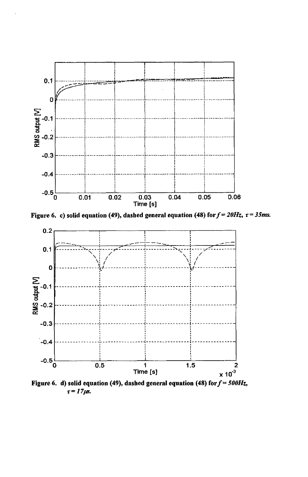

Figure 6. c) solid equation (49), dashed general equation (48) for  $f = 20Hz$ ,  $\tau = 35ms$ .



Figure 6. d) solid equation (49), dashed general equation (48) for  $f = 500Hz$ ,  $\tau = 17 \mu s$ .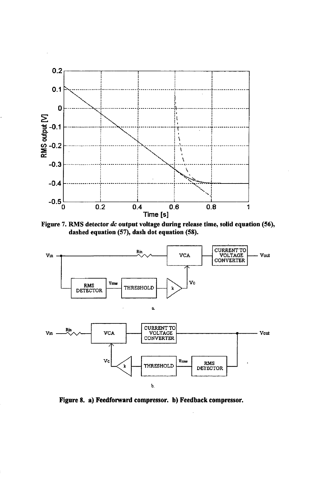

Figure 7. RMS detector dc output voltage during release time, solid equation (56), dashed equation (57), dash dot equation (58).



Figure 8. a) Feedforward compressor. b) Feedback compressor.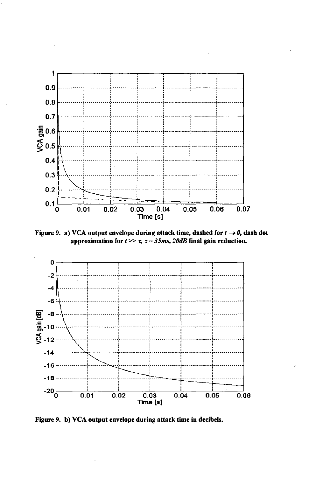

Figure 9. a) VCA output envelope during attack time, dashed for  $t \rightarrow 0$ , dash dot approximation for  $t \gg \tau$ ,  $\tau = 35$ ms, 20dB final gain reduction.



Figure 9. b) VCA output envelope during attack time in decibels.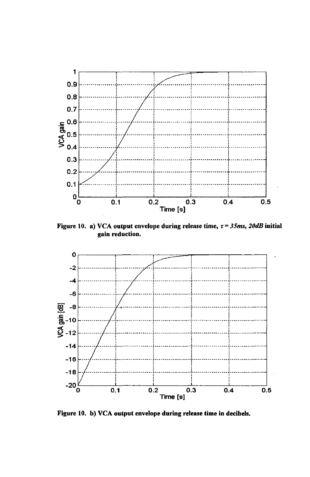

Figure 10. a) VCA output envelope during release time,  $\tau = 35$ ms, 20dB initial gain reduction.



Figure 10. b) VCA output envelope during release time in decibels.